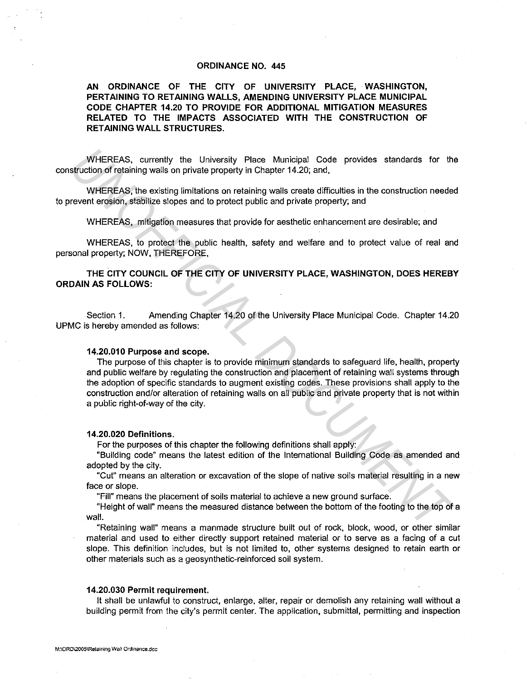#### **ORDINANCE NO. 445**

**AN ORDINANCE OF THE CITY OF UNIVERSITY PLACE, WASHINGTON, PERTAINING TO RETAINING WALLS, AMENDING UNIVERSITY PLACE MUNICIPAL CODE CHAPTER 14.20 TO PROVIDE FOR ADDITIONAL MITIGATION MEASURES RELATED TO THE IMPACTS ASSOCIATED WITH THE CONSTRUCTION OF RETAINING WALL STRUCTURES.** 

WHEREAS, currently the University Place Municipal Code provides standards for the construction of retaining walls on private property in Chapter 14.20; and,

WHEREAS, the existing limitations on retaining walls create difficulties in the construction needed to prevent erosion, stabilize slopes and to protect public and private property; and

WHEREAS, mitigation measures that provide for aesthetic enhancement are desirable; and

WHEREAS, to protect the public health, safety and welfare and to protect value of real and personal property; NOW, THEREFORE,

**THE CITY COUNCIL OF THE CITY OF UNIVERSITY PLACE, WASHINGTON, DOES HEREBY ORDAIN AS FOLLOWS:** 

Section 1. Amending Chapter 14.20 of the University Place Municipal Code. Chapter 14.20 UPMC is hereby amended as follows:

#### **14.20.010 Purpose and scope.**

The purpose of this chapter is to provide minimum standards to safeguard life, health, property and public welfare by regulating the construction and placement of retaining wall systems through the adoption of specific standards to augment existing codes. These provisions shall apply to the construction and/or alteration of retaining walls on all public and private property that is not within a public right-of-way of the city. WHEREAS, currently the University Place Municipal Code provides standards for the<br> **UNHEREAS, the existing limitations on relating walls on private property in Chapter 14-20; and,<br>
WHEREAS, the existing limitations on rela** 

#### **14.20.020 Definitions.**

For the purposes of this chapter the following definitions shall apply:

"Building code" means the latest edition of the International Building Code as amended and adopted by the city.

"Cut" means an alteration or excavation of the slope of native soils material resulting in a new face or slope.

"Fill" means the placement of soils material to achieve a new ground surface.

"Height of wall" means the measured distance between the bottom of the footing to the top of a wall.

"Retaining wall" means a manmade structure built out of rock, block, wood, or other similar material and used to either directly support retained material or to serve as a facing of a cut slope. This definition includes, but is not limited to, other systems designed to retain earth or other materials such as a geosynthetic-reinforced soil system.

## **14.20.030 Permit requirement.**

It shall be unlawful to construct, enlarge, alter, repair or demolish any retaining wall without a building permit from the city's permit center. The application, submittal, permitting and inspection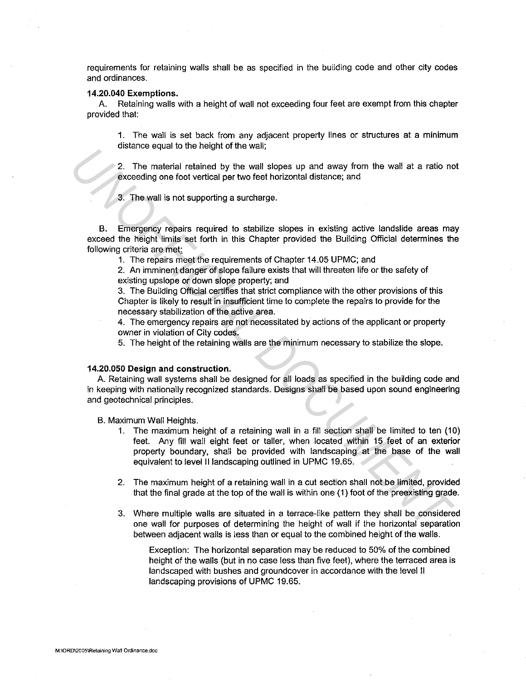requirements for retaining walls shall be as specified in the building code and other city codes and ordinances.

### **14.20.040 Exemptions.**

A. Retaining walls with a height of wall not exceeding four feet are exempt from this chapter provided that:

1. The wall is set back from any adjacent property lines or structures at a minimum distance equal to the height of the wall;

2. The material retained by the wall slopes up and away from the wall at a ratio not exceeding one foot vertical per two feet horizontal distance; and

3. The wall is not supporting a surcharge.

B. Emergency repairs required to stabilize slopes in existing active landslide areas may exceed the height limits set forth in this Chapter provided the Building Official determines the following criteria are met

1. The repairs meet the requirements of Chapter 14.05 UPMC; and

2. An imminent danger of slope failure exists that will threaten life or the safety of existing upslope or down slope property; and

3. The Building Official certifies that strict compliance with the other provisions of this Chapter is likely to result in insufficient time to complete the repairs to provide for the necessary stabilization of the active area.

4. The emergency repairs are not necessitated by actions of the applicant or property owner in violation of City codes.

5. The height of the retaining walls are the minimum necessary to stabilize the slope.

### **14.20.050 Design and construction.**

A. Retaining wall systems shall be designed for all loads as specified in the building code and in keeping with nationally recognized standards. Designs shall be based upon sound engineering and geotechnical principles.

B. Maximum Wall Heights.

- 1. The maximum height of a retaining wall in a fill section shall be limited to ten (10) feet. Any fill wall eight feet or taller, when located within 15 feet of an exterior property boundary, shall be provided with landscaping at the base of the wall equivalent to level II landscaping outlined in UPMC 19.65. Later of the material relation to the wall signs up and away from the wall at a ratio not exceeding one food vertical py the wall signs up and away from the wall at a ratio not exceeding one food vertical py the wall sign
	- 2. The maximum height of a retaining wall in a cut section shall not be limited, provided that the final grade at the top of the wall is within one (1) foot of the preexisting grade.
	- 3. Where multiple walls are situated in a terrace-like pattern they shall be considered one wall for purposes of determining the height of wall if the horizontal separation between adjacent walls is less than or equal to the combined height of the walls.

Exception: The horizontal separation may be reduced to 50% of the combined height of the walls (but in no case less than five feet), where the terraced area is landscaped with bushes and groundcover in accordance with the level II landscaping provisions of UPMC 19.65.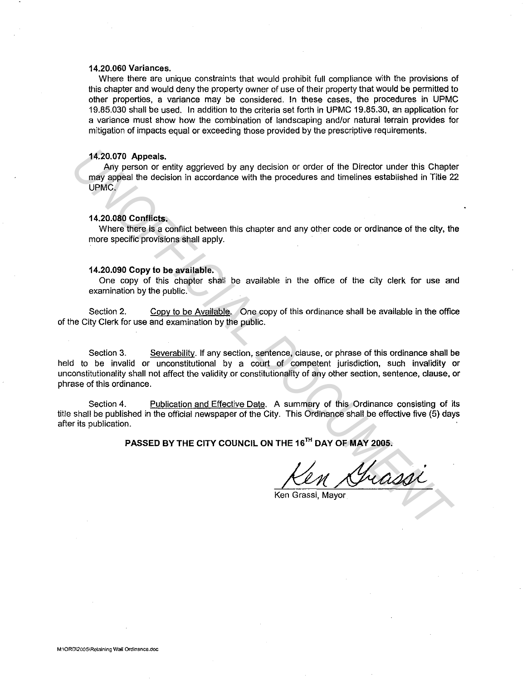## **14.20.060 Variances.**

Where there are unique constraints that would prohibit full compliance with the provisions of this chapter and would deny the property owner of use of their property that would be permitted to other properties, a variance may be considered. In these cases, the procedures in UPMC 19.85.030 shall be used. In addition to the criteria set forth in UPMC 19.85.30, an application for a variance must show how the combination of landscaping and/or natural terrain provides for mitigation of impacts equal or exceeding those provided by the prescriptive requirements.

# **14.20.070 Appeals.**

Any person or entity aggrieved by any decision or order of the Director under this Chapter may appeal the decision in accordance with the procedures and timelines established in Title 22 UPMC.

### **14.20.080 Conflicts.**

Where there is a conflict between this chapter and any other code or ordinance of the city, the more specific provisions shall apply.

#### **14.20.090 Copy to be available.**

One copy of this chapter shall be available in the office of the city clerk for use and examination by the public.

Section 2. Copy to be Available. One copy of this ordinance shall be available in the office of the City Clerk for use and examination by the public.

Section 3. Severability. If any section, sentence, clause, or phrase of this ordinance shall be held to be invalid or unconstitutional by a court of competent jurisdiction, such invalidity or unconstitutionality shall not affect the validity or constitutionality of any other section, sentence, clause, or phrase of this ordinance. 14.20.070 Appeals,<br>
Any person or entity aggrieved by any decision or order of the Director under this Chapter<br>
may apples the decision in accordance with the procedures and timelines established in Title 2<br>
UPMC.<br>
UPMC.<br>

Section 4. Publication and Effective Date. A summary of this Ordinance consisting of its title shall be published in the official newspaper of the City. This Ordinance shall be effective five (5) days after its publication.

PASSED BY THE CITY COUNCIL ON THE 16<sup>TH</sup> DAY OF MAY 2005.

Ken Grassi, Mayor